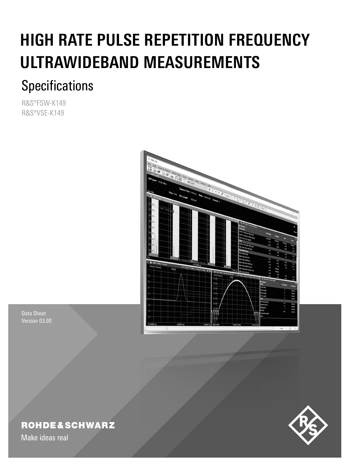# **HIGH RATE PULSE REPETITION FREQUENCY ULTRAWIDEBAND MEASUREMENTS**

## **Specifications**

R&S®FSW-K149 R&S®VSE-K149



Data Sheet Version 03.00

## **ROHDE&SCHWARZ**

Make ideas real

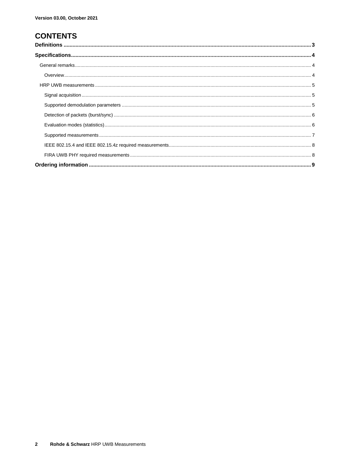## **CONTENTS**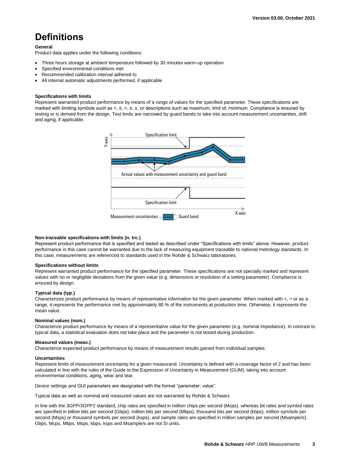## <span id="page-2-0"></span>**Definitions**

#### **General**

Product data applies under the following conditions:

- Three hours storage at ambient temperature followed by 30 minutes warm-up operation
- Specified environmental conditions met
- Recommended calibration interval adhered to
- All internal automatic adjustments performed, if applicable

#### **Specifications with limits**

Represent warranted product performance by means of a range of values for the specified parameter. These specifications are marked with limiting symbols such as <, ≤, >, ≥, ±, or descriptions such as maximum, limit of, minimum. Compliance is ensured by testing or is derived from the design. Test limits are narrowed by guard bands to take into account measurement uncertainties, drift and aging, if applicable.



#### **Non-traceable specifications with limits (n. trc.)**

Represent product performance that is specified and tested as described under "Specifications with limits" above. However, product performance in this case cannot be warranted due to the lack of measuring equipment traceable to national metrology standards. In this case, measurements are referenced to standards used in the Rohde & Schwarz laboratories.

#### **Specifications without limits**

Represent warranted product performance for the specified parameter. These specifications are not specially marked and represent values with no or negligible deviations from the given value (e.g. dimensions or resolution of a setting parameter). Compliance is ensured by design.

#### **Typical data (typ.)**

Characterizes product performance by means of representative information for the given parameter. When marked with  $\lt$ ,  $>$  or as a range, it represents the performance met by approximately 80 % of the instruments at production time. Otherwise, it represents the mean value.

#### **Nominal values (nom.)**

Characterize product performance by means of a representative value for the given parameter (e.g. nominal impedance). In contrast to typical data, a statistical evaluation does not take place and the parameter is not tested during production.

#### **Measured values (meas.)**

Characterize expected product performance by means of measurement results gained from individual samples.

#### **Uncertainties**

Represent limits of measurement uncertainty for a given measurand. Uncertainty is defined with a coverage factor of 2 and has been calculated in line with the rules of the Guide to the Expression of Uncertainty in Measurement (GUM), taking into account environmental conditions, aging, wear and tear.

Device settings and GUI parameters are designated with the format "parameter: value".

Typical data as well as nominal and measured values are not warranted by Rohde & Schwarz.

In line with the 3GPP/3GPP2 standard, chip rates are specified in million chips per second (Mcps), whereas bit rates and symbol rates are specified in billion bits per second (Gbps), million bits per second (Mbps), thousand bits per second (kbps), million symbols per second (Msps) or thousand symbols per second (ksps), and sample rates are specified in million samples per second (Msample/s). Gbps, Mcps, Mbps, Msps, kbps, ksps and Msample/s are not SI units.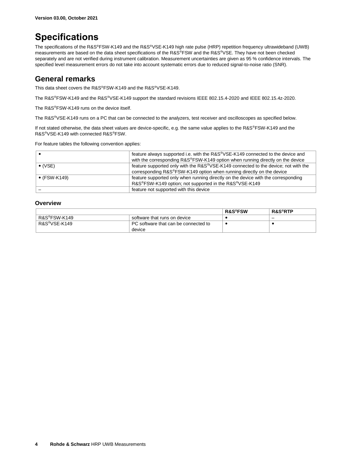## <span id="page-3-0"></span>**Specifications**

The specifications of the R&S®FSW-K149 and the R&S®VSE-K149 high rate pulse (HRP) repetition frequency ultrawideband (UWB) measurements are based on the data sheet specifications of the R&S®FSW and the R&S®VSE. They have not been checked separately and are not verified during instrument calibration. Measurement uncertainties are given as 95 % confidence intervals. The specified level measurement errors do not take into account systematic errors due to reduced signal-to-noise ratio (SNR).

#### <span id="page-3-1"></span>**General remarks**

This data sheet covers the R&S®FSW-K149 and the R&S®VSE-K149.

The R&S®FSW-K149 and the R&S®VSE-K149 support the standard revisions IEEE 802.15.4-2020 and IEEE 802.15.4z-2020.

The R&S®FSW-K149 runs on the device itself.

The R&S®VSE-K149 runs on a PC that can be connected to the analyzers, test receiver and oscilloscopes as specified below.

If not stated otherwise, the data sheet values are device-specific, e.g. the same value applies to the R&S®FSW-K149 and the R&S®VSE-K149 with connected R&S®FSW.

For feature tables the following convention applies:

|                      | feature always supported i.e. with the R&S <sup>®</sup> VSE-K149 connected to the device and |
|----------------------|----------------------------------------------------------------------------------------------|
|                      | with the corresponding R&S®FSW-K149 option when running directly on the device               |
| $\bullet$ (VSE)      | feature supported only with the R&S®VSE-K149 connected to the device; not with the           |
|                      | corresponding R&S®FSW-K149 option when running directly on the device                        |
| $\bullet$ (FSW-K149) | feature supported only when running directly on the device with the corresponding            |
|                      | R&S®FSW-K149 option; not supported in the R&S®VSE-K149                                       |
|                      | feature not supported with this device                                                       |

#### <span id="page-3-2"></span>**Overview**

|              |                                      | <b>R&amp;S®FSW</b> | $R\&S^{\circledast}R$ TP |
|--------------|--------------------------------------|--------------------|--------------------------|
| R&S®FSW-K149 | software that runs on device         |                    | -                        |
| R&S®VSE-K149 | PC software that can be connected to |                    |                          |
|              | device                               |                    |                          |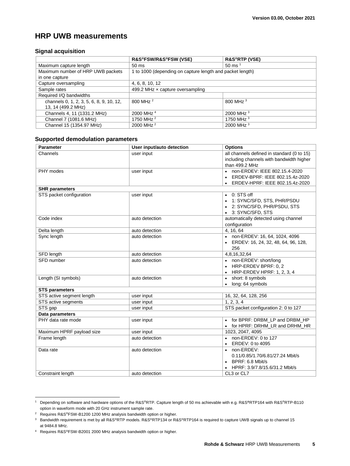### <span id="page-4-0"></span>**HRP UWB measurements**

#### <span id="page-4-1"></span>**Signal acquisition**

|                                          | R&S®FSW/R&S®FSW (VSE)                                     | <b>R&amp;S®RTP (VSE)</b>     |
|------------------------------------------|-----------------------------------------------------------|------------------------------|
| Maximum capture length                   | 50 ms                                                     | $50 \text{ ms}$ <sup>1</sup> |
| Maximum number of HRP UWB packets        | 1 to 1000 (depending on capture length and packet length) |                              |
| in one capture                           |                                                           |                              |
| Capture oversampling                     | 4, 6, 8, 10, 12                                           |                              |
| Sample rates                             | 499.2 MHz $\times$ capture oversampling                   |                              |
| Required I/Q bandwidths                  |                                                           |                              |
| channels 0, 1, 2, 3, 5, 6, 8, 9, 10, 12, | 800 MHz <sup>2</sup>                                      | 800 MHz <sup>3</sup>         |
| 13, 14 (499.2 MHz)                       |                                                           |                              |
| Channels 4, 11 (1331.2 MHz)              | 2000 MHz <sup>4</sup>                                     | 2000 MHz $3$                 |
| Channel 7 (1081.6 MHz)                   | 1750 MHz <sup>2</sup>                                     | 1750 MHz <sup>3</sup>        |
| Channel 15 (1354.97 MHz)                 | 2000 MHz <sup>2</sup>                                     | 2000 MHz $3$                 |

#### <span id="page-4-4"></span><span id="page-4-3"></span><span id="page-4-2"></span>**Supported demodulation parameters**

| <b>Parameter</b>          | User input/auto detection | <b>Options</b>                             |  |
|---------------------------|---------------------------|--------------------------------------------|--|
| Channels                  | user input                | all channels defined in standard (0 to 15) |  |
|                           |                           | including channels with bandwidth higher   |  |
|                           |                           | than 499.2 MHz                             |  |
| PHY modes                 | user input                | non-ERDEV: IEEE 802.15.4-2020              |  |
|                           |                           | ERDEV-BPRF: IEEE 802.15.4z-2020            |  |
|                           |                           | ERDEV-HPRF: IEEE 802.15.4z-2020            |  |
| <b>SHR</b> parameters     |                           |                                            |  |
| STS packet configuration  | user input                | $\bullet$ 0: STS off                       |  |
|                           |                           | • 1: SYNC/SFD, STS, PHR/PSDU               |  |
|                           |                           | • 2: SYNC/SFD, PHR/PSDU, STS               |  |
|                           |                           | 3: SYNC/SFD, STS                           |  |
| Code index                | auto detection            | automatically detected using channel       |  |
|                           |                           | configuration                              |  |
| Delta length              | auto detection            | 4, 16, 64                                  |  |
| Sync length               | auto detection            | • non-ERDEV: 16, 64, 1024, 4096            |  |
|                           |                           | ERDEV: 16, 24, 32, 48, 64, 96, 128,        |  |
|                           |                           | 256                                        |  |
| SFD length                | auto detection            | 4,8,16,32,64                               |  |
| SFD number                | auto detection            | • non-ERDEV: short/long                    |  |
|                           |                           | HRP-ERDEV BPRF: 0.2                        |  |
|                           |                           | $\bullet$ HRP-ERDEV HPRF: 1, 2, 3, 4       |  |
| Length (SI symbols)       | auto detection            | short: 8 symbols                           |  |
|                           |                           | long: 64 symbols                           |  |
| <b>STS parameters</b>     |                           |                                            |  |
| STS active segment length | user input                | 16, 32, 64, 128, 256                       |  |
| STS active segments       | user input                | 1, 2, 3, 4                                 |  |
| STS gap                   | user input                | STS packet configuration 2: 0 to 127       |  |
| Data parameters           |                           |                                            |  |
| PHY data rate mode        | user input                | • for BPRF: DRBM LP and DRBM HP            |  |
|                           |                           | • for HPRF: DRHM LR and DRHM HR            |  |
| Maximum HPRF payload size | user input                | 1023, 2047, 4095                           |  |
| Frame length              | auto detection            | $\bullet$ non-ERDEV: 0 to 127              |  |
|                           |                           | ERDEV: 0 to 4095                           |  |
| Data rate                 | auto detection            | non-ERDEV:                                 |  |
|                           |                           | 0.11/0.85/1.70/6.81/27.24 Mbit/s           |  |
|                           |                           | $\bullet$ BPRF: 6.8 Mbit/s                 |  |
|                           |                           | HPRF: 3.9/7.8/15.6/31.2 Mbit/s             |  |
| Constraint length         | auto detection            | CL3 or CL7                                 |  |

<sup>1</sup> Depending on software and hardware options of the R&S®RTP. Capture length of 50 ms achievable with e.g. R&S**®**RTP164 with R&S®RTP-B110 option in waveform mode with 20 GHz instrument sample rate.

 $\overline{a}$ 

<sup>2</sup> Requires R&S®FSW-B1200 1200 MHz analysis bandwidth option or higher.

<sup>&</sup>lt;sup>3</sup> Bandwidth requirement is met by all R&S®RTP models. R&S®RTP134 or R&S®RTP164 is required to capture UWB signals up to channel 15 at 9484.8 MHz.

<sup>4</sup> Requires R&S®FSW-B2001 2000 MHz analysis bandwidth option or higher.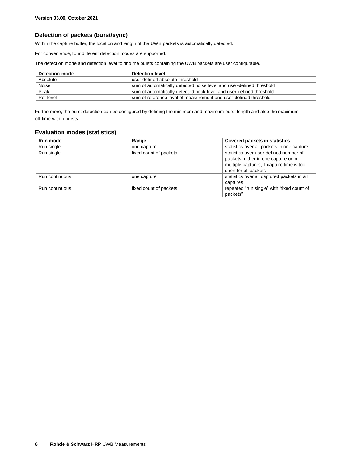#### <span id="page-5-0"></span>**Detection of packets (burst/sync)**

Within the capture buffer, the location and length of the UWB packets is automatically detected.

For convenience, four different detection modes are supported.

The detection mode and detection level to find the bursts containing the UWB packets are user configurable.

| <b>Detection mode</b> | Detection level                                                      |
|-----------------------|----------------------------------------------------------------------|
| Absolute              | user-defined absolute threshold                                      |
| Noise                 | sum of automatically detected noise level and user-defined threshold |
| Peak                  | sum of automatically detected peak level and user-defined threshold  |
| Ref level             | sum of reference level of measurement and user-defined threshold     |

<span id="page-5-1"></span>Furthermore, the burst detection can be configured by defining the minimum and maximum burst length and also the maximum off-time within bursts.

#### **Evaluation modes (statistics)**

| Run mode       | Range                  | Covered packets in statistics               |
|----------------|------------------------|---------------------------------------------|
| Run single     | one capture            | statistics over all packets in one capture  |
| Run single     | fixed count of packets | statistics over user-defined number of      |
|                |                        | packets, either in one capture or in        |
|                |                        | multiple captures, if capture time is too   |
|                |                        | short for all packets                       |
| Run continuous | one capture            | statistics over all captured packets in all |
|                |                        | captures                                    |
| Run continuous | fixed count of packets | repeated "run single" with "fixed count of  |
|                |                        | packets"                                    |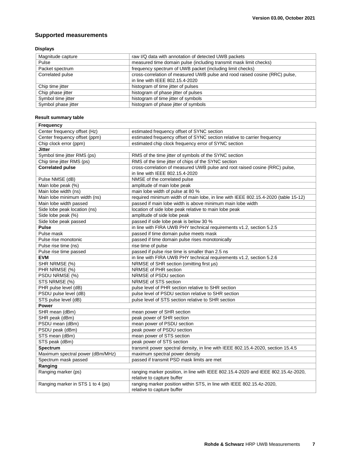#### <span id="page-6-0"></span>**Supported measurements**

#### **Displays**

| Magnitude capture   | raw I/Q data with annotation of detected UWB packets                        |
|---------------------|-----------------------------------------------------------------------------|
| Pulse               | measured time domain pulse (including transmit mask limit checks)           |
| Packet spectrum     | frequency spectrum of UWB packet (including limit checks)                   |
| Correlated pulse    | cross-correlation of measured UWB pulse and rood raised cosine (RRC) pulse, |
|                     | in line with IEEE 802.15.4-2020                                             |
| Chip time jitter    | histogram of time jitter of pulses                                          |
| Chip phase jitter   | histogram of phase jitter of pulses                                         |
| Symbol time jitter  | histogram of time jitter of symbols                                         |
| Symbol phase jitter | histogram of phase jitter of symbols                                        |

#### **Result summary table**

| Frequency                         |                                                                                    |  |
|-----------------------------------|------------------------------------------------------------------------------------|--|
| Center frequency offset (Hz)      | estimated frequency offset of SYNC section                                         |  |
| Center frequency offset (ppm)     | estimated frequency offset of SYNC section relative to carrier frequency           |  |
| Chip clock error (ppm)            | estimated chip clock frequency error of SYNC section                               |  |
| <b>Jitter</b>                     |                                                                                    |  |
| Symbol time jitter RMS (ps)       | RMS of the time jitter of symbols of the SYNC section                              |  |
| Chip time jitter RMS (ps)         | RMS of the time jitter of chips of the SYNC section                                |  |
| <b>Correlated pulse</b>           | cross-correlation of measured UWB pulse and root raised cosine (RRC) pulse,        |  |
|                                   | in line with IEEE 802.15.4-2020                                                    |  |
| Pulse NMSE (dB)                   | NMSE of the correlated pulse                                                       |  |
| Main lobe peak (%)                | amplitude of main lobe peak                                                        |  |
| Main lobe width (ns)              | main lobe width of pulse at 80 %                                                   |  |
| Main lobe minimum width (ns)      | required minimum width of main lobe, in line with IEEE 802.15.4-2020 (table 15-12) |  |
| Main lobe width passed            | passed if main lobe width is above minimum main lobe width                         |  |
| Side lobe peak location (ns)      | location of side lobe peak relative to main lobe peak                              |  |
| Side lobe peak (%)                | amplitude of side lobe peak                                                        |  |
| Side lobe peak passed             | passed if side lobe peak is below 30 %                                             |  |
| <b>Pulse</b>                      | in line with FIRA UWB PHY technical requirements v1.2, section 5.2.5               |  |
| Pulse mask                        | passed if time domain pulse meets mask                                             |  |
| Pulse rise monotonic              | passed if time domain pulse rises monotonically                                    |  |
| Pulse rise time (ns)              | rise time of pulse                                                                 |  |
| Pulse rise time passed            | passed if pulse rise time is smaller than 2.5 ns                                   |  |
| <b>EVM</b>                        | in line with FIRA UWB PHY technical requirements v1.2, section 5.2.6               |  |
| SHR NRMSE (%)                     | NRMSE of SHR section (omitting first µs)                                           |  |
| PHR NRMSE (%)                     | NRMSE of PHR section                                                               |  |
| PSDU NRMSE (%)                    | NRMSE of PSDU section                                                              |  |
| STS NRMSE (%)                     | NRMSE of STS section                                                               |  |
| PHR pulse level (dB)              | pulse level of PHR section relative to SHR section                                 |  |
| PSDU pulse level (dB)             | pulse level of PSDU section relative to SHR section                                |  |
| STS pulse level (dB)              | pulse level of STS section relative to SHR section                                 |  |
| <b>Power</b>                      |                                                                                    |  |
| SHR mean (dBm)                    | mean power of SHR section                                                          |  |
| SHR peak (dBm)                    | peak power of SHR section                                                          |  |
| PSDU mean (dBm)                   | mean power of PSDU section                                                         |  |
| PSDU peak (dBm)                   | peak power of PSDU section                                                         |  |
| STS mean (dBm)                    | mean power of STS section                                                          |  |
| STS peak (dBm)                    | peak power of STS section                                                          |  |
| Spectrum                          | transmit power spectral density, in line with IEEE 802.15.4-2020, section 15.4.5   |  |
| Maximum spectral power (dBm/MHz)  | maximum spectral power density                                                     |  |
| Spectrum mask passed              | passed if transmit PSD mask limits are met                                         |  |
| Ranging                           |                                                                                    |  |
| Ranging marker (ps)               | ranging marker position, in line with IEEE 802.15.4-2020 and IEEE 802.15.4z-2020,  |  |
|                                   | relative to capture buffer                                                         |  |
| Ranging marker in STS 1 to 4 (ps) | ranging marker position within STS, in line with IEEE 802.15.4z-2020,              |  |
|                                   | relative to capture buffer                                                         |  |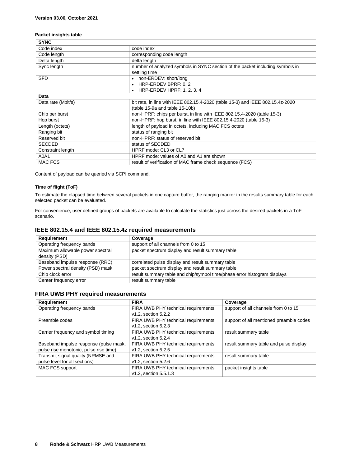#### **Packet insights table**

| <b>SYNC</b>        |                                                                                |
|--------------------|--------------------------------------------------------------------------------|
| Code index         | code index                                                                     |
| Code length        | corresponding code length                                                      |
| Delta length       | delta length                                                                   |
| Sync length        | number of analyzed symbols in SYNC section of the packet including symbols in  |
|                    | settling time                                                                  |
| <b>SFD</b>         | • non-ERDEV: short/long                                                        |
|                    | • HRP-ERDEV BPRF: 0, 2                                                         |
|                    | • HRP-ERDEV HPRF: 1, 2, 3, 4                                                   |
| Data               |                                                                                |
| Data rate (Mbit/s) | bit rate, in line with IEEE 802.15.4-2020 (table 15-3) and IEEE 802.15.4z-2020 |
|                    | (table 15-9a and table 15-10b)                                                 |
| Chip per burst     | non-HPRF: chips per burst, in line with IEEE 802.15.4-2020 (table 15-3)        |
| Hop burst          | non-HPRF: hop burst, in line with IEEE 802.15.4-2020 (table 15-3)              |
| Length (octets)    | length of payload in octets, including MAC FCS octets                          |
| Ranging bit        | status of ranging bit                                                          |
| Reserved bit       | non-HPRF: status of reserved bit                                               |
| <b>SECDED</b>      | status of SECDED                                                               |
| Constraint length  | HPRF mode: CL3 or CL7                                                          |
| A0A1               | HPRF mode: values of A0 and A1 are shown                                       |
| <b>MAC FCS</b>     | result of verification of MAC frame check sequence (FCS)                       |

Content of payload can be queried via SCPI command.

#### **Time of flight (ToF)**

To estimate the elapsed time between several packets in one capture buffer, the ranging marker in the results summary table for each selected packet can be evaluated.

For convenience, user defined groups of packets are available to calculate the statistics just across the desired packets in a ToF scenario.

#### <span id="page-7-0"></span>**IEEE 802.15.4 and IEEE 802.15.4z required measurements**

| Requirement                                       | Coverage                                                                 |
|---------------------------------------------------|--------------------------------------------------------------------------|
| Operating frequency bands                         | support of all channels from 0 to 15                                     |
| Maximum allowable power spectral<br>density (PSD) | packet spectrum display and result summary table                         |
| Baseband impulse response (RRC)                   | correlated pulse display and result summary table                        |
| Power spectral density (PSD) mask                 | packet spectrum display and result summary table                         |
| Chip clock error                                  | result summary table and chip/symbol time/phase error histogram displays |
| Center frequency error                            | result summary table                                                     |

#### <span id="page-7-1"></span>**FIRA UWB PHY required measurements**

| Requirement                            | <b>FIRA</b>                         | Coverage                                |
|----------------------------------------|-------------------------------------|-----------------------------------------|
| Operating frequency bands              | FIRA UWB PHY technical requirements | support of all channels from 0 to 15    |
|                                        | v1.2, section 5.2.2                 |                                         |
| Preamble codes                         | FIRA UWB PHY technical requirements | support of all mentioned preamble codes |
|                                        | v1.2, section 5.2.3                 |                                         |
| Carrier frequency and symbol timing    | FIRA UWB PHY technical requirements | result summary table                    |
|                                        | v1.2, section 5.2.4                 |                                         |
| Baseband impulse response (pulse mask, | FIRA UWB PHY technical requirements | result summary table and pulse display  |
| pulse rise monotonic, pulse rise time) | v1.2, section 5.2.5                 |                                         |
| Transmit signal quality (NRMSE and     | FIRA UWB PHY technical requirements | result summary table                    |
| pulse level for all sections)          | v1.2, section 5.2.6                 |                                         |
| MAC FCS support                        | FIRA UWB PHY technical requirements | packet insights table                   |
|                                        | v1.2, section 5.5.1.3               |                                         |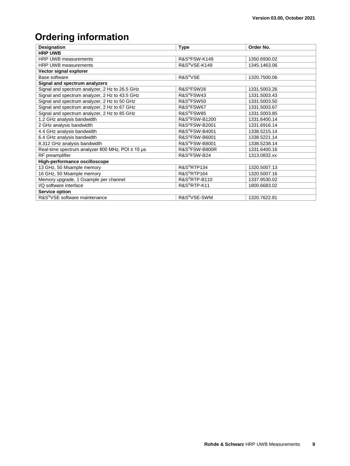## <span id="page-8-0"></span>**Ordering information**

| <b>Designation</b>                                    | <b>Type</b>                | Order No.    |
|-------------------------------------------------------|----------------------------|--------------|
| <b>HRP UWB</b>                                        |                            |              |
| HRP UWB measurements                                  | R&S®FSW-K149               | 1350.6930.02 |
| <b>HRP UWB measurements</b>                           | R&S <sup>®</sup> VSE-K149  | 1345.1463.06 |
| Vector signal explorer                                |                            |              |
| Base software                                         | R&S <sup>®</sup> VSE       | 1320.7500.06 |
| Signal and spectrum analyzers                         |                            |              |
| Signal and spectrum analyzer, 2 Hz to 26.5 GHz        | R&S <sup>®</sup> FSW26     | 1331.5003.26 |
| Signal and spectrum analyzer, 2 Hz to 43.5 GHz        | R&S®FSW43                  | 1331.5003.43 |
| Signal and spectrum analyzer, 2 Hz to 50 GHz          | R&S <sup>®</sup> FSW50     | 1331.5003.50 |
| Signal and spectrum analyzer, 2 Hz to 67 GHz          | R&S <sup>®</sup> FSW67     | 1331.5003.67 |
| Signal and spectrum analyzer, 2 Hz to 85 GHz          | R&S®FSW85                  | 1331.5003.85 |
| 1.2 GHz analysis bandwidth                            | R&S®FSW-B1200              | 1331.6400.14 |
| 2 GHz analysis bandwidth                              | R&S <sup>®</sup> FSW-B2001 | 1331.6916.14 |
| 4.4 GHz analysis bandwidth                            | R&S <sup>®</sup> FSW-B4001 | 1338.5215.14 |
| 6.4 GHz analysis bandwidth                            | R&S®FSW-B6001              | 1338.5221.14 |
| 8.312 GHz analysis bandwidth                          | R&S <sup>®</sup> FSW-B8001 | 1338.5238.14 |
| Real-time spectrum analyzer 800 MHz, POI $\leq$ 15 µs | R&S®FSW-B800R              | 1331.6400.16 |
| RF preamplifier                                       | R&S®FSW-B24                | 1313.0832.xx |
| High-performance oscilloscope                         |                            |              |
| 13 GHz, 50 Msample memory                             | R&S®RTP134                 | 1320.5007.13 |
| 16 GHz, 50 Msample memory                             | R&S <sup>®</sup> RTP164    | 1320.5007.16 |
| Memory upgrade, 1 Gsample per channel                 | R&S <sup>®</sup> RTP-B110  | 1337.9530.02 |
| I/Q software interface                                | R&S®RTP-K11                | 1800.6683.02 |
| <b>Service option</b>                                 |                            |              |
| R&S <sup>®</sup> VSE software maintenance             | R&S <sup>®</sup> VSE-SWM   | 1320.7622.81 |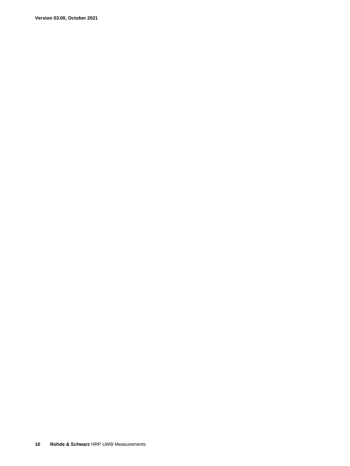**Version 03.00, October 2021**